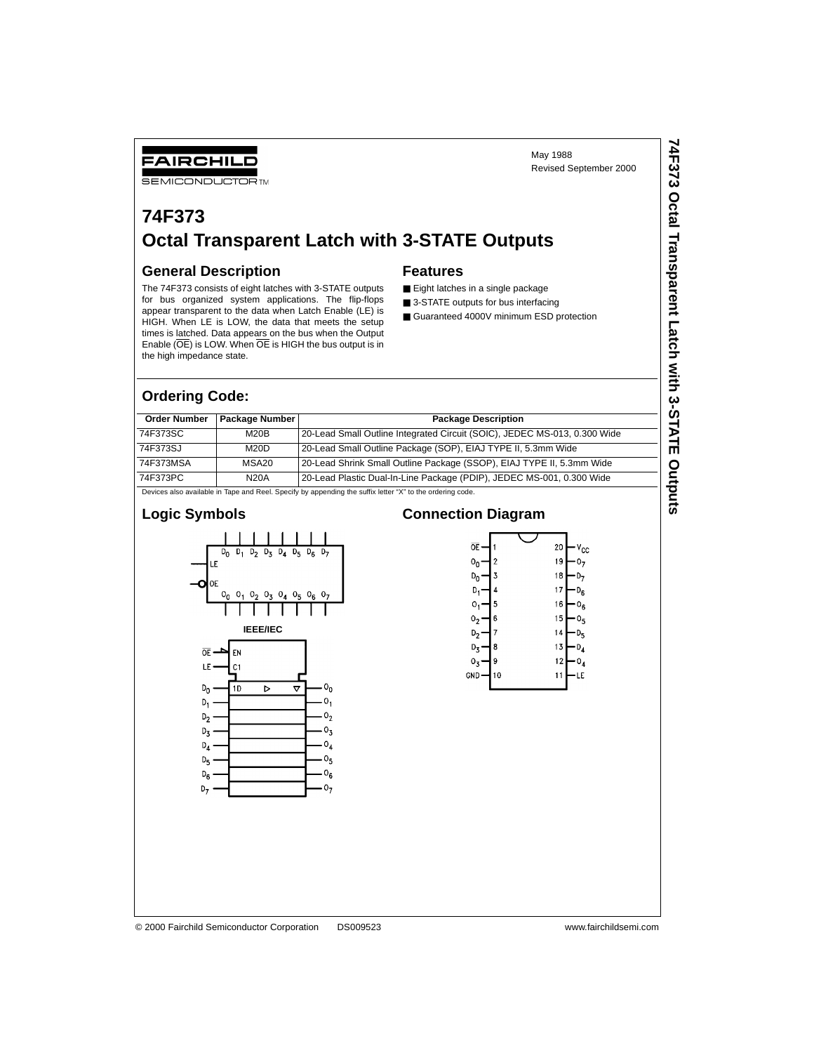Revised September 2000

**74F373 Octal Transparent Latch with 3-STATE Outputs**

74F373 Octal Transparent Latch with 3-STATE Outputs

May 1988

#### FAIRCHILD **SEMICONDUCTOR TM**

# **74F373 Octal Transparent Latch with 3-STATE Outputs**

#### **General Description**

The 74F373 consists of eight latches with 3-STATE outputs for bus organized system applications. The flip-flops appear transparent to the data when Latch Enable (LE) is HIGH. When LE is LOW, the data that meets the setup times is latched. Data appears on the bus when the Output Enable (OE) is LOW. When OE is HIGH the bus output is in the high impedance state.

#### **Features**

- Eight latches in a single package
- 3-STATE outputs for bus interfacing
- Guaranteed 4000V minimum ESD protection

#### **Ordering Code:**

| <b>Order Number</b> | Package Number | <b>Package Description</b>                                                |
|---------------------|----------------|---------------------------------------------------------------------------|
| 74F373SC            | M20B           | 20-Lead Small Outline Integrated Circuit (SOIC), JEDEC MS-013, 0.300 Wide |
| 74F373SJ            | M20D           | 20-Lead Small Outline Package (SOP), EIAJ TYPE II, 5.3mm Wide             |
| 74F373MSA           | MSA20          | 20-Lead Shrink Small Outline Package (SSOP), EIAJ TYPE II, 5.3mm Wide     |
| 74F373PC            | <b>N20A</b>    | 20-Lead Plastic Dual-In-Line Package (PDIP), JEDEC MS-001, 0.300 Wide     |

Devices also available in Tape and Reel. Specify by appending the suffix letter "X" to the ordering code.

 $0<sub>7</sub>$ 

### **Logic Symbols**

 $D_7$ 



#### **Connection Diagram**

| ŌE             |    | 20<br>٧cc            |
|----------------|----|----------------------|
| 0 <sub>n</sub> | 2  | 19                   |
| D <sub>n</sub> | 3  | 18                   |
| D,             | 4  | 17                   |
| о,             | 5  | 16<br>Ug             |
| ٥,             | 6  | 15<br>υ <sub>5</sub> |
| D,             | 7  | 14                   |
| D <sub>τ</sub> | 8  | 13                   |
| $0_{3}$        | 9  | 12                   |
| gnd            | 10 | -1<br>1<br>E         |
|                |    |                      |

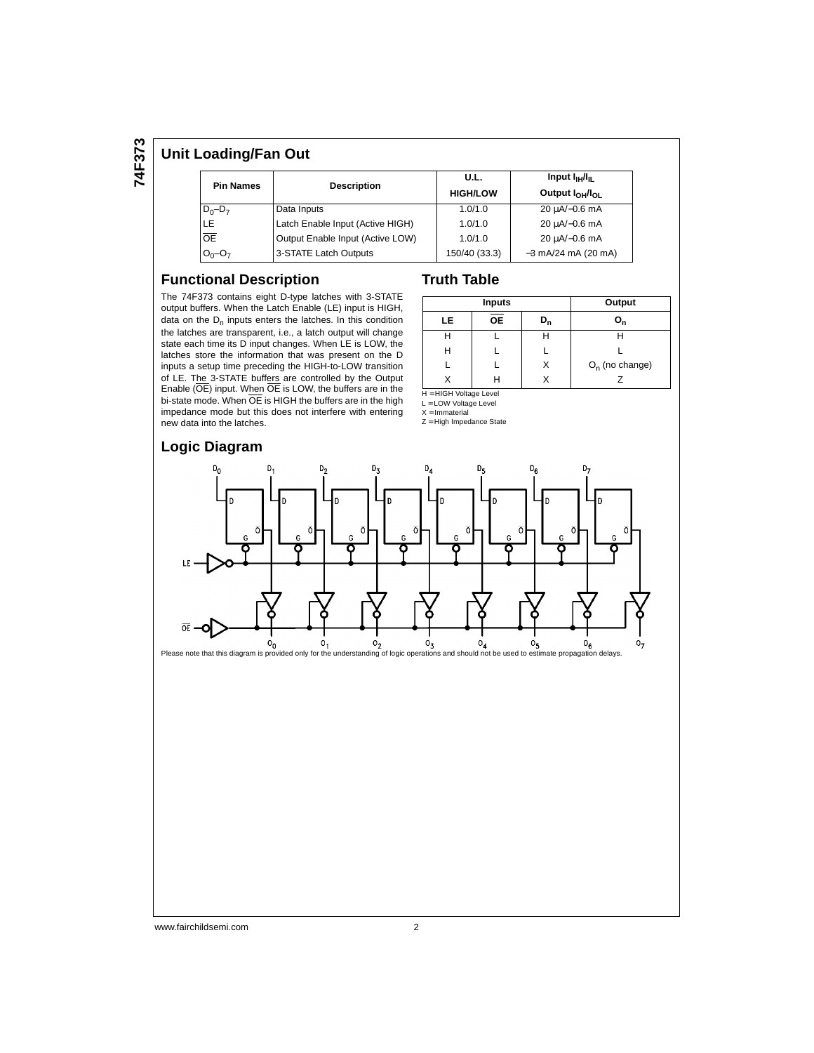**74F373**

#### **Unit Loading/Fan Out**

| <b>Pin Names</b> | <b>Description</b>               | U.L.<br><b>HIGH/LOW</b> | Input $I_{\rm HI}/I_{\rm H}$<br>Output $I_{OH}/I_{OH}$ |  |  |
|------------------|----------------------------------|-------------------------|--------------------------------------------------------|--|--|
| $D_0 - D_7$      | Data Inputs                      | 1.0/1.0                 | 20 µA/-0.6 mA                                          |  |  |
| <b>LE</b>        | Latch Enable Input (Active HIGH) | 1.0/1.0                 | 20 µA/-0.6 mA                                          |  |  |
| <b>OE</b>        | Output Enable Input (Active LOW) | 1.0/1.0                 | 20 µA/-0.6 mA                                          |  |  |
| $O_0 - O_7$      | 3-STATE Latch Outputs            | 150/40 (33.3)           | $-3$ mA/24 mA (20 mA)                                  |  |  |

#### **Functional Description**

The 74F373 contains eight D-type latches with 3-STATE output buffers. When the Latch Enable (LE) input is HIGH, data on the  $D_n$  inputs enters the latches. In this condition the latches are transparent, i.e., a latch output will change state each time its D input changes. When LE is LOW, the latches store the information that was present on the D inputs a setup time preceding the HIGH-to-LOW transition of LE. The 3-STATE buffers are controlled by the Output Enable (OE) input. When OE is LOW, the buffers are in the bi-state mode. When OE is HIGH the buffers are in the high impedance mode but this does not interfere with entering new data into the latches.

#### **Truth Table**

|    | Inputs    | Output         |                   |
|----|-----------|----------------|-------------------|
| LE | <b>OE</b> | D <sub>n</sub> | $O_{n}$           |
|    |           |                |                   |
| н  |           |                |                   |
|    |           |                | $O_n$ (no change) |
|    |           |                |                   |

H = HIGH Voltage Level

L = LOW Voltage Level  $X = Immaterial$ 

Z = High Impedance State



# **Logic Diagram**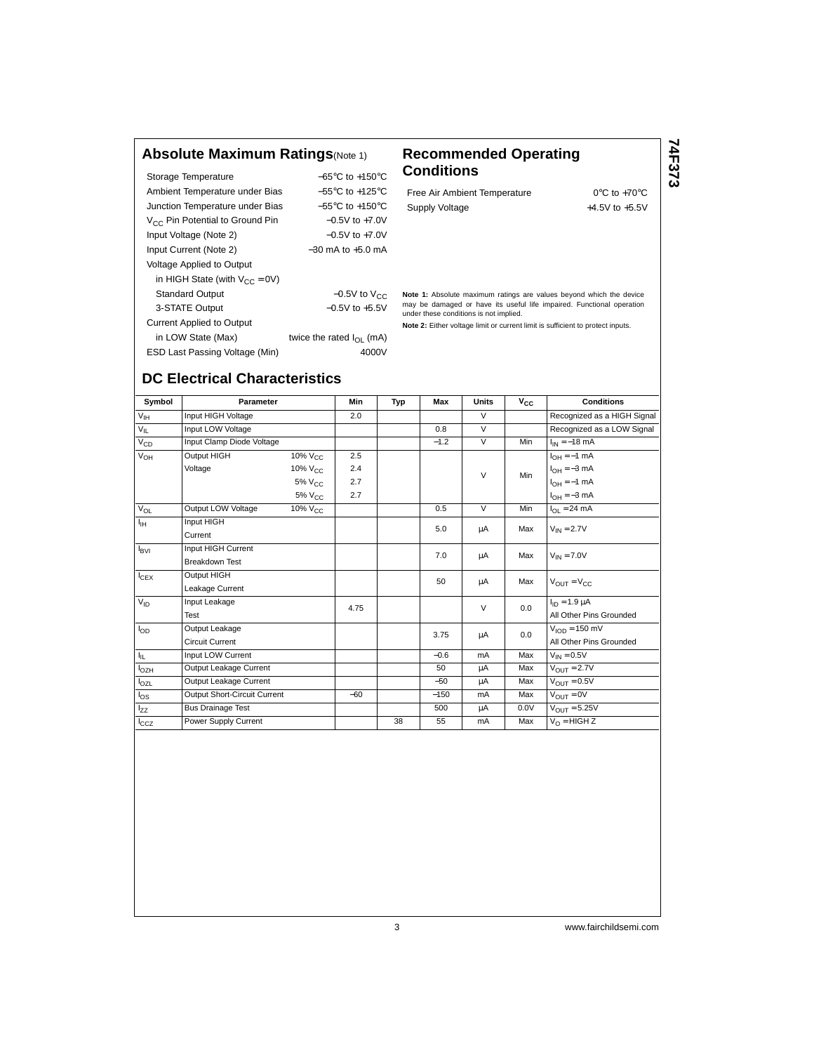#### **Absolute Maximum Ratings**(Note 1) **Recommended Operating**

| Storage Temperature                  | $-65^{\circ}$ C to $+150^{\circ}$ C |
|--------------------------------------|-------------------------------------|
| Ambient Temperature under Bias       | $-55^{\circ}$ C to $+125^{\circ}$ C |
| Junction Temperature under Bias      | $-55^{\circ}$ C to $+150^{\circ}$ C |
| $V_{CC}$ Pin Potential to Ground Pin | $-0.5V$ to $+7.0V$                  |
| Input Voltage (Note 2)               | $-0.5V$ to $+7.0V$                  |
| Input Current (Note 2)               | $-30$ mA to $+5.0$ mA               |
| Voltage Applied to Output            |                                     |
| in HIGH State (with $V_{CC} = 0V$ )  |                                     |
| <b>Standard Output</b>               | $-0.5V$ to $V_{CC}$                 |
| 3-STATE Output                       | $-0.5V$ to $+5.5V$                  |
| <b>Current Applied to Output</b>     |                                     |
| in LOW State (Max)                   | twice the rated $I_{\Omega}$ (mA)   |
| ESD Last Passing Voltage (Min)       | 4000V                               |

# **Conditions**

Free Air Ambient Temperature 0°C to +70°C Supply Voltage  $+4.5V$  to  $+5.5V$  **74F373**

**Note 1:** Absolute maximum ratings are values beyond which the device may be damaged or have its useful life impaired. Functional operation under these conditions is not implied.

**Note 2:** Either voltage limit or current limit is sufficient to protect inputs.

## **DC Electrical Characteristics**

| Symbol          | <b>Parameter</b>             |                     | <b>Min</b> | Typ | Max    | <b>Units</b>   | $\bar{v}_{cc}$ | <b>Conditions</b>                |
|-----------------|------------------------------|---------------------|------------|-----|--------|----------------|----------------|----------------------------------|
| $V_{\text{IH}}$ | Input HIGH Voltage           |                     | 2.0        |     |        | $\vee$         |                | Recognized as a HIGH Signal      |
| $V_{IL}$        | Input LOW Voltage            |                     |            |     | 0.8    | $\overline{V}$ |                | Recognized as a LOW Signal       |
| $V_{CD}$        | Input Clamp Diode Voltage    |                     |            |     | $-1.2$ | $\vee$         | Min            | $I_{IN} = -18$ mA                |
| $V_{OH}$        | Output HIGH                  | 10% V <sub>CC</sub> | 2.5        |     |        |                |                | $I_{OH} = -1$ mA                 |
|                 | Voltage                      | 10% V <sub>CC</sub> | 2.4        |     |        | $\vee$         | Min            | $I_{OH} = -3$ mA                 |
|                 |                              | $5\%$ $V_{CC}$      | 2.7        |     |        |                |                | $I_{OH} = -1$ mA                 |
|                 |                              | 5% V <sub>CC</sub>  | 2.7        |     |        |                |                | $I_{OH} = -3$ mA                 |
| $V_{OL}$        | Output LOW Voltage           | 10% V <sub>CC</sub> |            |     | 0.5    | $\overline{V}$ | Min            | $I_{OL} = 24 \text{ mA}$         |
| ŀн              | Input HIGH                   |                     |            |     | 5.0    | μA             | Max            | $V_{IN} = 2.7V$                  |
|                 | Current                      |                     |            |     |        |                |                |                                  |
| $I_{\rm BVI}$   | Input HIGH Current           |                     |            |     | 7.0    | μA             | Max            | $V_{IN} = 7.0V$                  |
|                 | <b>Breakdown Test</b>        |                     |            |     |        |                |                |                                  |
| $I_{CEX}$       | Output HIGH                  |                     |            |     | 50     | μA             | Max            | $V_{\text{OUT}} = V_{\text{CC}}$ |
|                 | Leakage Current              |                     |            |     |        |                |                |                                  |
| $V_{ID}$        | Input Leakage                |                     | 4.75       |     |        | $\vee$         | 0.0            | $I_{ID} = 1.9 \mu A$             |
|                 | Test                         |                     |            |     |        |                |                | All Other Pins Grounded          |
| $I_{OD}$        | Output Leakage               |                     |            |     | 3.75   | μA             | 0.0            | $VION = 150$ mV                  |
|                 | <b>Circuit Current</b>       |                     |            |     |        |                |                | All Other Pins Grounded          |
| h.              | Input LOW Current            |                     |            |     | $-0.6$ | mA             | Max            | $V_{IN} = 0.5V$                  |
| $I_{OZH}$       | Output Leakage Current       |                     |            |     | 50     | μA             | Max            | $V_{OIII} = 2.7V$                |
| $I_{OZL}$       | Output Leakage Current       |                     |            |     | $-50$  | μA             | Max            | $V_{\text{OUT}} = 0.5V$          |
| $I_{OS}$        | Output Short-Circuit Current |                     | $-60$      |     | $-150$ | mA             | Max            | $V_{OIIT} = 0V$                  |
| Izz             | <b>Bus Drainage Test</b>     |                     |            |     | 500    | μA             | 0.0V           | $V_{OIIT} = 5.25V$               |
| $I_{CCZ}$       | Power Supply Current         |                     |            | 38  | 55     | mA             | Max            | $V_O = HIGH Z$                   |
|                 |                              |                     |            |     |        |                |                |                                  |

3 www.fairchildsemi.com